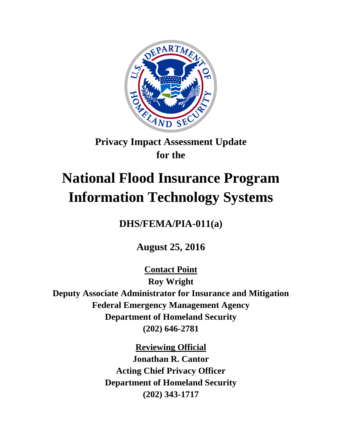

## **Privacy Impact Assessment Update for the**

# **National Flood Insurance Program Information Technology Systems**

**DHS/FEMA/PIA-011(a)**

**August 25, 2016**

**Contact Point Roy Wright Deputy Associate Administrator for Insurance and Mitigation Federal Emergency Management Agency Department of Homeland Security (202) 646-2781**

**Reviewing Official**

**Jonathan R. Cantor Acting Chief Privacy Officer Department of Homeland Security (202) 343-1717**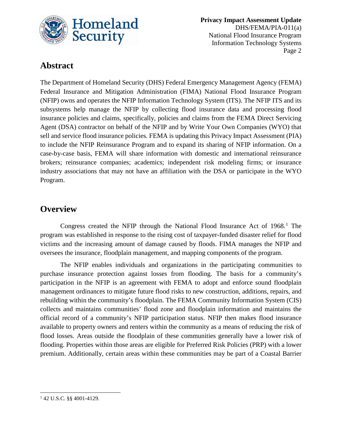

 **Privacy Impact Assessment Update** DHS/FEMA/PIA-011(a) National Flood Insurance Program Information Technology Systems Page 2

## **Abstract**

The Department of Homeland Security (DHS) Federal Emergency Management Agency (FEMA) Federal Insurance and Mitigation Administration (FIMA) National Flood Insurance Program (NFIP) owns and operates the NFIP Information Technology System (ITS). The NFIP ITS and its subsystems help manage the NFIP by collecting flood insurance data and processing flood insurance policies and claims, specifically, policies and claims from the FEMA Direct Servicing Agent (DSA) contractor on behalf of the NFIP and by Write Your Own Companies (WYO) that sell and service flood insurance policies. FEMA is updating this Privacy Impact Assessment (PIA) to include the NFIP Reinsurance Program and to expand its sharing of NFIP information. On a case-by-case basis, FEMA will share information with domestic and international reinsurance brokers; reinsurance companies; academics; independent risk modeling firms; or insurance industry associations that may not have an affiliation with the DSA or participate in the WYO Program.

### **Overview**

Congress created the NFIP through the National Flood Insurance Act of [1](#page-1-0)968.<sup>1</sup> The program was established in response to the rising cost of taxpayer-funded disaster relief for flood victims and the increasing amount of damage caused by floods. FIMA manages the NFIP and oversees the insurance, floodplain management, and mapping components of the program.

The NFIP enables individuals and organizations in the participating communities to purchase insurance protection against losses from flooding. The basis for a community's participation in the NFIP is an agreement with FEMA to adopt and enforce sound floodplain management ordinances to mitigate future flood risks to new construction, additions, repairs, and rebuilding within the community's floodplain. The FEMA Community Information System (CIS) collects and maintains communities' flood zone and floodplain information and maintains the official record of a community's NFIP participation status. NFIP then makes flood insurance available to property owners and renters within the community as a means of reducing the risk of flood losses. Areas outside the floodplain of these communities generally have a lower risk of flooding. Properties within those areas are eligible for Preferred Risk Policies (PRP) with a lower premium. Additionally, certain areas within these communities may be part of a Coastal Barrier

<span id="page-1-0"></span> $\overline{\phantom{a}}$ <sup>1</sup> 42 U.S.C. §§ 4001-4129.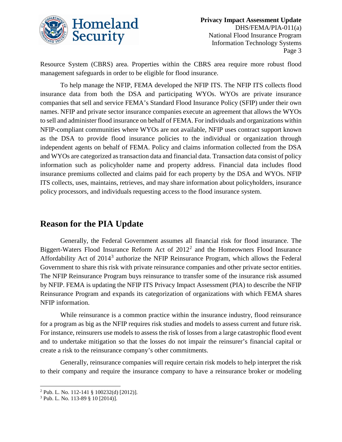

Resource System (CBRS) area. Properties within the CBRS area require more robust flood management safeguards in order to be eligible for flood insurance.

To help manage the NFIP, FEMA developed the NFIP ITS. The NFIP ITS collects flood insurance data from both the DSA and participating WYOs. WYOs are private insurance companies that sell and service FEMA's Standard Flood Insurance Policy (SFIP) under their own names. NFIP and private sector insurance companies execute an agreement that allows the WYOs to sell and administer flood insurance on behalf of FEMA. For individuals and organizations within NFIP-compliant communities where WYOs are not available, NFIP uses contract support known as the DSA to provide flood insurance policies to the individual or organization through independent agents on behalf of FEMA. Policy and claims information collected from the DSA and WYOs are categorized as transaction data and financial data. Transaction data consist of policy information such as policyholder name and property address. Financial data includes flood insurance premiums collected and claims paid for each property by the DSA and WYOs. NFIP ITS collects, uses, maintains, retrieves, and may share information about policyholders, insurance policy processors, and individuals requesting access to the flood insurance system.

## **Reason for the PIA Update**

Generally, the Federal Government assumes all financial risk for flood insurance. The Biggert-Waters Flood Insurance Reform Act of  $2012<sup>2</sup>$  $2012<sup>2</sup>$  and the Homeowners Flood Insurance Affordability Act of 2014[3](#page-2-1) authorize the NFIP Reinsurance Program, which allows the Federal Government to share this risk with private reinsurance companies and other private sector entities. The NFIP Reinsurance Program buys reinsurance to transfer some of the insurance risk assumed by NFIP. FEMA is updating the NFIP ITS Privacy Impact Assessment (PIA) to describe the NFIP Reinsurance Program and expands its categorization of organizations with which FEMA shares NFIP information.

While reinsurance is a common practice within the insurance industry, flood reinsurance for a program as big as the NFIP requires risk studies and models to assess current and future risk. For instance, reinsurers use models to assess the risk of losses from a large catastrophic flood event and to undertake mitigation so that the losses do not impair the reinsurer's financial capital or create a risk to the reinsurance company's other commitments.

Generally, reinsurance companies will require certain risk models to help interpret the risk to their company and require the insurance company to have a reinsurance broker or modeling

 $\overline{a}$ 

<span id="page-2-0"></span><sup>2</sup> Pub. L. No. 112-141 § 100232(d) [2012)].

<span id="page-2-1"></span><sup>3</sup> Pub. L. No. 113-89 § 10 [2014)].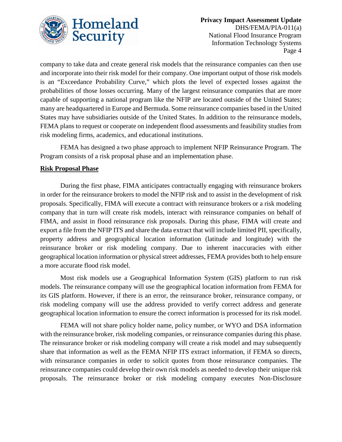

company to take data and create general risk models that the reinsurance companies can then use and incorporate into their risk model for their company. One important output of those risk models is an "Exceedance Probability Curve," which plots the level of expected losses against the probabilities of those losses occurring. Many of the largest reinsurance companies that are more capable of supporting a national program like the NFIP are located outside of the United States; many are headquartered in Europe and Bermuda. Some reinsurance companies based in the United States may have subsidiaries outside of the United States. In addition to the reinsurance models, FEMA plans to request or cooperate on independent flood assessments and feasibility studies from risk modeling firms, academics, and educational institutions.

FEMA has designed a two phase approach to implement NFIP Reinsurance Program. The Program consists of a risk proposal phase and an implementation phase.

#### **Risk Proposal Phase**

During the first phase, FIMA anticipates contractually engaging with reinsurance brokers in order for the reinsurance brokers to model the NFIP risk and to assist in the development of risk proposals. Specifically, FIMA will execute a contract with reinsurance brokers or a risk modeling company that in turn will create risk models, interact with reinsurance companies on behalf of FIMA, and assist in flood reinsurance risk proposals. During this phase, FIMA will create and export a file from the NFIP ITS and share the data extract that will include limited PII, specifically, property address and geographical location information (latitude and longitude) with the reinsurance broker or risk modeling company. Due to inherent inaccuracies with either geographical location information or physical street addresses, FEMA provides both to help ensure a more accurate flood risk model.

Most risk models use a Geographical Information System (GIS) platform to run risk models. The reinsurance company will use the geographical location information from FEMA for its GIS platform. However, if there is an error, the reinsurance broker, reinsurance company, or risk modeling company will use the address provided to verify correct address and generate geographical location information to ensure the correct information is processed for its risk model.

FEMA will not share policy holder name, policy number, or WYO and DSA information with the reinsurance broker, risk modeling companies, or reinsurance companies during this phase. The reinsurance broker or risk modeling company will create a risk model and may subsequently share that information as well as the FEMA NFIP ITS extract information, if FEMA so directs, with reinsurance companies in order to solicit quotes from those reinsurance companies. The reinsurance companies could develop their own risk models as needed to develop their unique risk proposals. The reinsurance broker or risk modeling company executes Non-Disclosure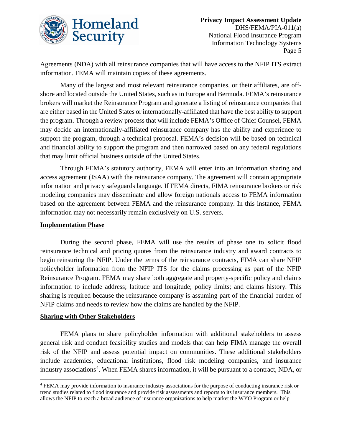

Agreements (NDA) with all reinsurance companies that will have access to the NFIP ITS extract information. FEMA will maintain copies of these agreements.

Many of the largest and most relevant reinsurance companies, or their affiliates, are offshore and located outside the United States, such as in Europe and Bermuda. FEMA's reinsurance brokers will market the Reinsurance Program and generate a listing of reinsurance companies that are either based in the United States or internationally-affiliated that have the best ability to support the program. Through a review process that will include FEMA's Office of Chief Counsel, FEMA may decide an internationally-affiliated reinsurance company has the ability and experience to support the program, through a technical proposal. FEMA's decision will be based on technical and financial ability to support the program and then narrowed based on any federal regulations that may limit official business outside of the United States.

Through FEMA's statutory authority, FEMA will enter into an information sharing and access agreement (ISAA) with the reinsurance company. The agreement will contain appropriate information and privacy safeguards language. If FEMA directs, FIMA reinsurance brokers or risk modeling companies may disseminate and allow foreign nationals access to FEMA information based on the agreement between FEMA and the reinsurance company. In this instance, FEMA information may not necessarily remain exclusively on U.S. servers.

#### **Implementation Phase**

During the second phase, FEMA will use the results of phase one to solicit flood reinsurance technical and pricing quotes from the reinsurance industry and award contracts to begin reinsuring the NFIP. Under the terms of the reinsurance contracts, FIMA can share NFIP policyholder information from the NFIP ITS for the claims processing as part of the NFIP Reinsurance Program. FEMA may share both aggregate and property-specific policy and claims information to include address; latitude and longitude; policy limits; and claims history. This sharing is required because the reinsurance company is assuming part of the financial burden of NFIP claims and needs to review how the claims are handled by the NFIP.

#### **Sharing with Other Stakeholders**

 $\overline{a}$ 

FEMA plans to share policyholder information with additional stakeholders to assess general risk and conduct feasibility studies and models that can help FIMA manage the overall risk of the NFIP and assess potential impact on communities. These additional stakeholders include academics, educational institutions, flood risk modeling companies, and insurance industry associations<sup>[4](#page-4-0)</sup>. When FEMA shares information, it will be pursuant to a contract, NDA, or

<span id="page-4-0"></span><sup>4</sup> FEMA may provide information to insurance industry associations for the purpose of conducting insurance risk or trend studies related to flood insurance and provide risk assessments and reports to its insurance members. This allows the NFIP to reach a broad audience of insurance organizations to help market the WYO Program or help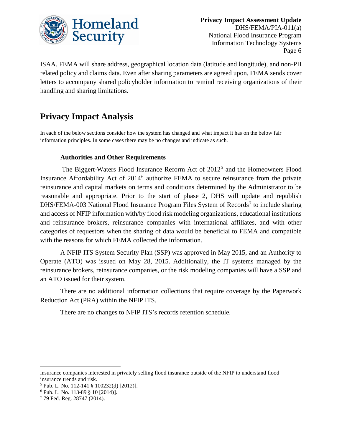

ISAA. FEMA will share address, geographical location data (latitude and longitude), and non-PII related policy and claims data. Even after sharing parameters are agreed upon, FEMA sends cover letters to accompany shared policyholder information to remind receiving organizations of their handling and sharing limitations.

## **Privacy Impact Analysis**

In each of the below sections consider how the system has changed and what impact it has on the below fair information principles. In some cases there may be no changes and indicate as such.

#### **Authorities and Other Requirements**

The Biggert-Waters Flood Insurance Reform Act of 2012<sup>[5](#page-5-0)</sup> and the Homeowners Flood Insurance Affordability Act of 2014<sup>[6](#page-5-1)</sup> authorize FEMA to secure reinsurance from the private reinsurance and capital markets on terms and conditions determined by the Administrator to be reasonable and appropriate. Prior to the start of phase 2, DHS will update and republish DHS/FEMA-003 National Flood Insurance Program Files System of Records<sup>[7](#page-5-2)</sup> to include sharing and access of NFIP information with/by flood risk modeling organizations, educational institutions and reinsurance brokers, reinsurance companies with international affiliates, and with other categories of requestors when the sharing of data would be beneficial to FEMA and compatible with the reasons for which FEMA collected the information.

A NFIP ITS System Security Plan (SSP) was approved in May 2015, and an Authority to Operate (ATO) was issued on May 28, 2015. Additionally, the IT systems managed by the reinsurance brokers, reinsurance companies, or the risk modeling companies will have a SSP and an ATO issued for their system.

There are no additional information collections that require coverage by the Paperwork Reduction Act (PRA) within the NFIP ITS.

There are no changes to NFIP ITS's records retention schedule.

 $\overline{\phantom{a}}$ 

insurance companies interested in privately selling flood insurance outside of the NFIP to understand flood insurance trends and risk.

<span id="page-5-0"></span><sup>&</sup>lt;sup>5</sup> Pub. L. No. 112-141 § 100232(d) [2012)]. <sup>6</sup> Pub. L. No. 113-89 § 10 [2014)].

<span id="page-5-1"></span>

<span id="page-5-2"></span><sup>7</sup> 79 Fed. Reg. 28747 (2014).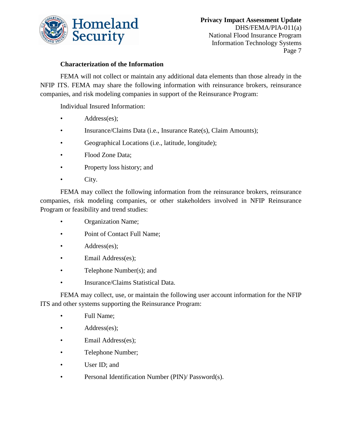

#### **Characterization of the Information**

FEMA will not collect or maintain any additional data elements than those already in the NFIP ITS. FEMA may share the following information with reinsurance brokers, reinsurance companies, and risk modeling companies in support of the Reinsurance Program:

Individual Insured Information:

- Address(es);
- Insurance/Claims Data (i.e., Insurance Rate(s), Claim Amounts);
- Geographical Locations (i.e., latitude, longitude);
- Flood Zone Data:
- Property loss history; and
- City.

FEMA may collect the following information from the reinsurance brokers, reinsurance companies, risk modeling companies, or other stakeholders involved in NFIP Reinsurance Program or feasibility and trend studies:

- Organization Name;
- Point of Contact Full Name;
- Address(es);
- Email Address(es);
- Telephone Number(s); and
- Insurance/Claims Statistical Data.

FEMA may collect, use, or maintain the following user account information for the NFIP ITS and other systems supporting the Reinsurance Program:

- Full Name;
- Address(es);
- Email Address(es);
- Telephone Number;
- User ID; and
- Personal Identification Number (PIN)/ Password(s).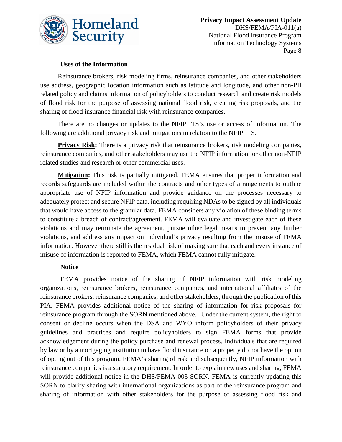

#### **Uses of the Information**

Reinsurance brokers, risk modeling firms, reinsurance companies, and other stakeholders use address, geographic location information such as latitude and longitude, and other non-PII related policy and claims information of policyholders to conduct research and create risk models of flood risk for the purpose of assessing national flood risk, creating risk proposals, and the sharing of flood insurance financial risk with reinsurance companies.

There are no changes or updates to the NFIP ITS's use or access of information. The following are additional privacy risk and mitigations in relation to the NFIP ITS.

**Privacy Risk:** There is a privacy risk that reinsurance brokers, risk modeling companies, reinsurance companies, and other stakeholders may use the NFIP information for other non-NFIP related studies and research or other commercial uses.

**Mitigation:** This risk is partially mitigated. FEMA ensures that proper information and records safeguards are included within the contracts and other types of arrangements to outline appropriate use of NFIP information and provide guidance on the processes necessary to adequately protect and secure NFIP data, including requiring NDAs to be signed by all individuals that would have access to the granular data. FEMA considers any violation of these binding terms to constitute a breach of contract/agreement. FEMA will evaluate and investigate each of these violations and may terminate the agreement, pursue other legal means to prevent any further violations, and address any impact on individual's privacy resulting from the misuse of FEMA information. However there still is the residual risk of making sure that each and every instance of misuse of information is reported to FEMA, which FEMA cannot fully mitigate.

#### **Notice**

FEMA provides notice of the sharing of NFIP information with risk modeling organizations, reinsurance brokers, reinsurance companies, and international affiliates of the reinsurance brokers, reinsurance companies, and other stakeholders, through the publication of this PIA. FEMA provides additional notice of the sharing of information for risk proposals for reinsurance program through the SORN mentioned above. Under the current system, the right to consent or decline occurs when the DSA and WYO inform policyholders of their privacy guidelines and practices and require policyholders to sign FEMA forms that provide acknowledgement during the policy purchase and renewal process. Individuals that are required by law or by a mortgaging institution to have flood insurance on a property do not have the option of opting out of this program. FEMA's sharing of risk and subsequently, NFIP information with reinsurance companies is a statutory requirement. In order to explain new uses and sharing, FEMA will provide additional notice in the DHS/FEMA-003 SORN. FEMA is currently updating this SORN to clarify sharing with international organizations as part of the reinsurance program and sharing of information with other stakeholders for the purpose of assessing flood risk and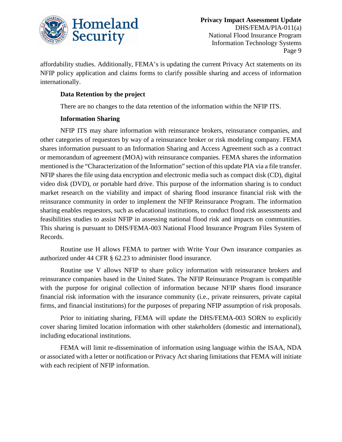

affordability studies. Additionally, FEMA's is updating the current Privacy Act statements on its NFIP policy application and claims forms to clarify possible sharing and access of information internationally.

#### **Data Retention by the project**

There are no changes to the data retention of the information within the NFIP ITS.

#### **Information Sharing**

NFIP ITS may share information with reinsurance brokers, reinsurance companies, and other categories of requestors by way of a reinsurance broker or risk modeling company. FEMA shares information pursuant to an Information Sharing and Access Agreement such as a contract or memorandum of agreement (MOA) with reinsurance companies. FEMA shares the information mentioned is the "Characterization of the Information" section of this update PIA via a file transfer. NFIP shares the file using data encryption and electronic media such as compact disk (CD), digital video disk (DVD), or portable hard drive. This purpose of the information sharing is to conduct market research on the viability and impact of sharing flood insurance financial risk with the reinsurance community in order to implement the NFIP Reinsurance Program. The information sharing enables requestors, such as educational institutions, to conduct flood risk assessments and feasibilities studies to assist NFIP in assessing national flood risk and impacts on communities. This sharing is pursuant to DHS/FEMA-003 National Flood Insurance Program Files System of Records.

Routine use H allows FEMA to partner with Write Your Own insurance companies as authorized under 44 CFR § 62.23 to administer flood insurance.

Routine use V allows NFIP to share policy information with reinsurance brokers and reinsurance companies based in the United States. The NFIP Reinsurance Program is compatible with the purpose for original collection of information because NFIP shares flood insurance financial risk information with the insurance community (i.e., private reinsurers, private capital firms, and financial institutions) for the purposes of preparing NFIP assumption of risk proposals.

Prior to initiating sharing, FEMA will update the DHS/FEMA-003 SORN to explicitly cover sharing limited location information with other stakeholders (domestic and international), including educational institutions.

FEMA will limit re-dissemination of information using language within the ISAA, NDA or associated with a letter or notification or Privacy Act sharing limitations that FEMA will initiate with each recipient of NFIP information.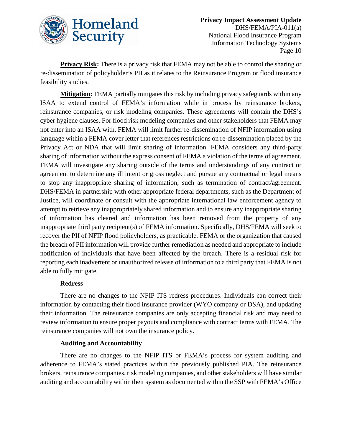

**Privacy Risk:** There is a privacy risk that FEMA may not be able to control the sharing or re-dissemination of policyholder's PII as it relates to the Reinsurance Program or flood insurance feasibility studies.

**Mitigation:** FEMA partially mitigates this risk by including privacy safeguards within any ISAA to extend control of FEMA's information while in process by reinsurance brokers, reinsurance companies, or risk modeling companies. These agreements will contain the DHS's cyber hygiene clauses. For flood risk modeling companies and other stakeholders that FEMA may not enter into an ISAA with, FEMA will limit further re-dissemination of NFIP information using language within a FEMA cover letter that references restrictions on re-dissemination placed by the Privacy Act or NDA that will limit sharing of information. FEMA considers any third-party sharing of information without the express consent of FEMA a violation of the terms of agreement. FEMA will investigate any sharing outside of the terms and understandings of any contract or agreement to determine any ill intent or gross neglect and pursue any contractual or legal means to stop any inappropriate sharing of information, such as termination of contract/agreement. DHS/FEMA in partnership with other appropriate federal departments, such as the Department of Justice, will coordinate or consult with the appropriate international law enforcement agency to attempt to retrieve any inappropriately shared information and to ensure any inappropriate sharing of information has cleared and information has been removed from the property of any inappropriate third party recipient(s) of FEMA information. Specifically, DHS/FEMA will seek to recover the PII of NFIP flood policyholders, as practicable. FEMA or the organization that caused the breach of PII information will provide further remediation as needed and appropriate to include notification of individuals that have been affected by the breach. There is a residual risk for reporting each inadvertent or unauthorized release of information to a third party that FEMA is not able to fully mitigate.

#### **Redress**

There are no changes to the NFIP ITS redress procedures. Individuals can correct their information by contacting their flood insurance provider (WYO company or DSA), and updating their information. The reinsurance companies are only accepting financial risk and may need to review information to ensure proper payouts and compliance with contract terms with FEMA. The reinsurance companies will not own the insurance policy.

#### **Auditing and Accountability**

There are no changes to the NFIP ITS or FEMA's process for system auditing and adherence to FEMA's stated practices within the previously published PIA. The reinsurance brokers, reinsurance companies, risk modeling companies, and other stakeholders will have similar auditing and accountability within their system as documented within the SSP with FEMA's Office